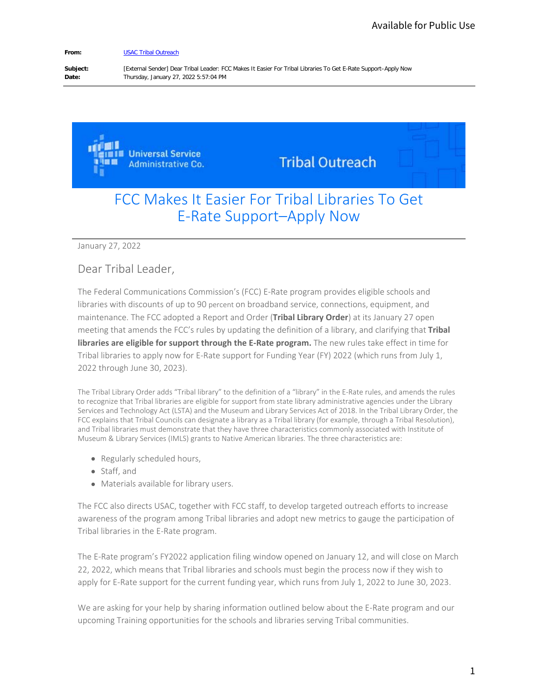#### **From:** [USAC Tribal Outreach](mailto:TribalTraining@usac.org)

**Subject:** [External Sender] Dear Tribal Leader: FCC Makes It Easier For Tribal Libraries To Get E-Rate Support–Apply Now **Date:** Thursday, January 27, 2022 5:57:04 PM

> **IL Universal Service Administrative Co.**

**Tribal Outreach** 

## FCC Makes It Easier For Tribal Libraries To Get E-Rate Support–Apply Now

January 27, 2022

### Dear Tribal Leader,

The Federal Communications Commission's (FCC) E-Rate program provides eligible schools and libraries with discounts of up to 90 percent on broadband service, connections, equipment, and maintenance. The FCC adopted a Report and Order (**Tribal Library Order**) at its January 27 open meeting that amends the FCC's rules by updating the definition of a library, and clarifying that **Tribal libraries are eligible for support through the E-Rate program.** The new rules take effect in time for Tribal libraries to apply now for E-Rate support for Funding Year (FY) 2022 (which runs from July 1, 2022 through June 30, 2023). Available for Public Use<br>
port-Apply Now<br>
port-Apply Now<br>
Signed Schools and<br>
Figure Schools and<br>
dequipment, and<br>
danuary 27 open<br>
I clarifying that **Tribal**<br>
ake effect in time for<br>
the customer of the Use Spencies under

The Tribal Library Order adds "Tribal library" to the definition of a "library" in the E-Rate rules, and amends the rules to recognize that Tribal libraries are eligible for support from state library administrative agencies under the Library Services and Technology Act (LSTA) and the Museum and Library Services Act of 2018. In the Tribal Library Order, the FCC explains that Tribal Councils can designate a library as a Tribal library (for example, through a Tribal Resolution), and Tribal libraries must demonstrate that they have three characteristics commonly associated with Institute of Museum & Library Services (IMLS) grants to Native American libraries. The three characteristics are:

- Regularly scheduled hours,
- Staff, and
- Materials available for library users.

The FCC also directs USAC, together with FCC staff, to develop targeted outreach efforts to increase awareness of the program among Tribal libraries and adopt new metrics to gauge the participation of Tribal libraries in the E-Rate program.

The E-Rate program's FY2022 application filing window opened on January 12, and will close on March 22, 2022, which means that Tribal libraries and schools must begin the process now if they wish to apply for E-Rate support for the current funding year, which runs from July 1, 2022 to June 30, 2023.

We are asking for your help by sharing information outlined below about the E-Rate program and our upcoming Training opportunities for the schools and libraries serving Tribal communities.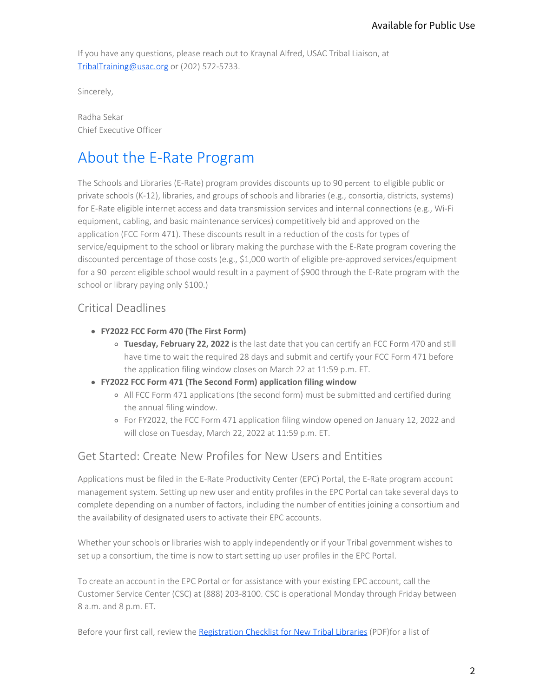If you have any questions, please reach out to Kraynal Alfred, USAC Tribal Liaison, at TribalTraining@usac.org or (202) 572-5733.

Sincerely,

Radha Sekar Chief Executive Officer

# About the E-Rate Program

 The Schools and Libraries (E-Rate) program provides discounts up to 90 percent to eligible public or for a 90 percent eligible school would result in a payment of \$900 through the E-Rate program with the private schools (K-12), libraries, and groups of schools and libraries (e.g., consortia, districts, systems) for E-Rate eligible internet access and data transmission services and internal connections (e.g., Wi-Fi equipment, cabling, and basic maintenance services) competitively bid and approved on the application (FCC Form 471). These discounts result in a reduction of the costs for types of service/equipment to the school or library making the purchase with the E-Rate program covering the discounted percentage of those costs (e.g., \$1,000 worth of eligible pre-approved services/equipment school or library paying only \$100.) Available for Public Use<br>
on, at<br>
on, at<br>
on, at<br>
one digible public or<br>
tia, districts, systems)<br>
onnections (e.g., Wi-Fi<br>
rowed on the<br>
program covering the<br>
ed services/equipment<br>
-Rate program with the<br>
FCC Form 470 an

### Critical Deadlines

- **FY2022 FCC Form 470 (The First Form)** 
	- **Tuesday, February 22, 2022** is the last date that you can certify an FCC Form 470 and still have time to wait the required 28 days and submit and certify your FCC Form 471 before the application filing window closes on March 22 at 11:59 p.m. ET.
- **FY2022 FCC Form 471 (The Second Form) application filing window** 
	- All FCC Form 471 applications (the second form) must be submitted and certified during the annual filing window.
	- For FY2022, the FCC Form 471 application filing window opened on January 12, 2022 and will close on Tuesday, March 22, 2022 at 11:59 p.m. ET.

### Get Started: Create New Profiles for New Users and Entities

Applications must be filed in the E-Rate Productivity Center (EPC) Portal, the E-Rate program account management system. Setting up new user and entity profiles in the EPC Portal can take several days to complete depending on a number of factors, including the number of entities joining a consortium and the availability of designated users to activate their EPC accounts.

Whether your schools or libraries wish to apply independently or if your Tribal government wishes to set up a consortium, the time is now to start setting up user profiles in the EPC Portal.

To create an account in the EPC Portal or for assistance with your existing EPC account, call the Customer Service Center (CSC) at (888) 203-8100. CSC is operational Monday through Friday between 8 a.m. and 8 p.m. ET.

Before your first call, review the [Registration Checklist for New Tribal Libraries](https://www.usac.org/e-rate_program_registraton_list_for_new_tribal_libraries/) (PDF)for a list of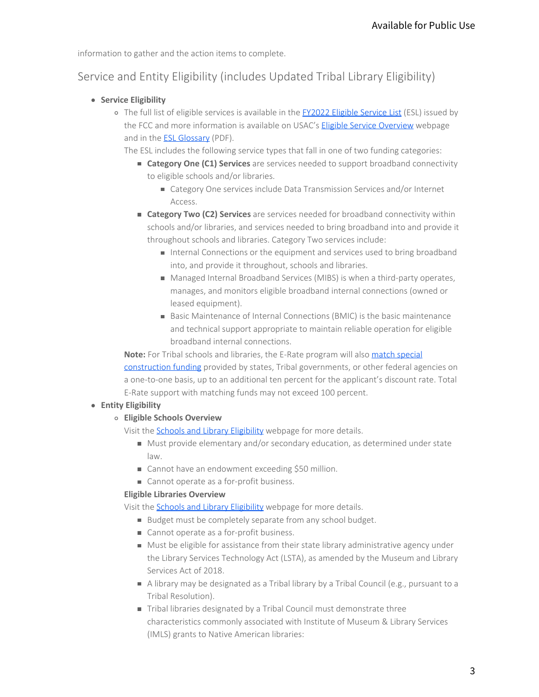information to gather and the action items to complete.

## Service and Entity Eligibility (includes Updated Tribal Library Eligibility)

- **Service Eligibility** 
	- o The full list of eligible services is available in the [FY2022 Eligible Service List](https://www.usac.org/e-rate/applicant-process/before-you-begin/eligible-services-list/) (ESL) issued by the FCC and more information is available on USAC's [Eligible Service Overview](https://www.usac.org/e-rate/applicant-process/before-you-begin/eligible-services-overview/) webpage and in the [ESL Glossary](https://www.usac.org/wp-content/uploads/e-rate/documents/ESL-Glossary.pdf) (PDF).
		- The ESL includes the following service types that fall in one of two funding categories:
			- **Category One (C1) Services** are services needed to support broadband connectivity to eligible schools and/or libraries.
				- Category One services include Data Transmission Services and/or Internet Access.
			- **Category Two (C2) Services** are services needed for broadband connectivity within schools and/or libraries, and services needed to bring broadband into and provide it throughout schools and libraries. Category Two services include:
				- Internal Connections or the equipment and services used to bring broadband into, and provide it throughout, schools and libraries.
				- Managed Internal Broadband Services (MIBS) is when a third-party operates, manages, and monitors eligible broadband internal connections (owned or leased equipment).
				- Basic Maintenance of Internal Connections (BMIC) is the basic maintenance and technical support appropriate to maintain reliable operation for eligible broadband internal connections.

**Note:** For Tribal schools and libraries, the E-Rate program will also match special [construction funding](https://www.usac.org/e-rate/applicant-process/before-you-begin/fiber-summary-overview/additional-discount-to-match-state-tribal-funding-for-special-construction/) provided by states, Tribal governments, or other federal agencies on a one-to-one basis, up to an additional ten percent for the applicant's discount rate. Total E-Rate support with matching funds may not exceed 100 percent. Available for Public Use<br>Iry Eligibility)<br>wice List (ESL) issued by<br>e Overview webpage<br>funding categories:<br>stroadband connectivity<br>ces and/or Internet<br>mand connectivity within<br>band into and provide it<br>de:<br>esed to bring bro

### **Entity Eligibility**

- **Eligible Schools Overview** 
	- Visit the **Schools and Library Eligibility** webpage for more details.
		- Must provide elementary and/or secondary education, as determined under state law.
		- Cannot have an endowment exceeding \$50 million.
		- Cannot operate as a for-profit business.

#### **Eligible Libraries Overview**

Visit the **Schools and Library Eligibility** webpage for more details.

- Budget must be completely separate from any school budget.
- Cannot operate as a for-profit business.
- Must be eligible for assistance from their state library administrative agency under the Library Services Technology Act (LSTA), as amended by the Museum and Library Services Act of 2018.
- A library may be designated as a Tribal library by a Tribal Council (e.g., pursuant to a Tribal Resolution).
- Tribal libraries designated by a Tribal Council must demonstrate three characteristics commonly associated with Institute of Museum & Library Services (IMLS) grants to Native American libraries: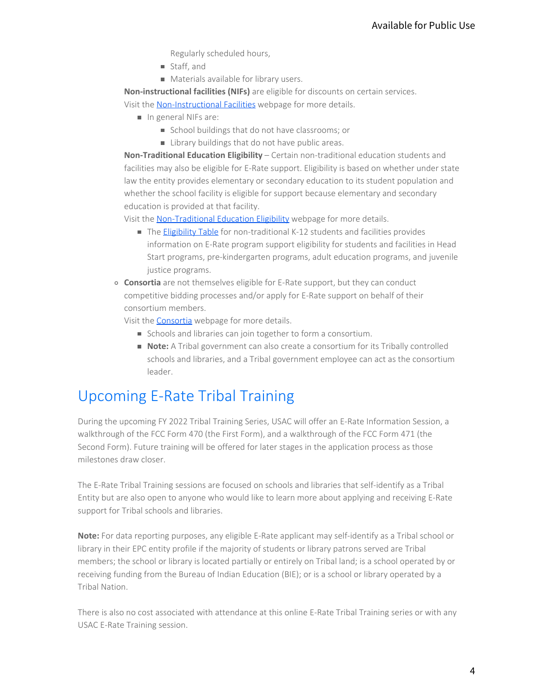Regularly scheduled hours,

- Staff, and
- **Materials available for library users.**

**Non-instructional facilities (NIFs)** are eligible for discounts on certain services. Visit the [Non-Instructional Facilities](https://www.usac.org/e-rate/applicant-process/before-you-begin/non-instructional-facilities-nifs/) webpage for more details.

- In general NIFs are:
	- School buildings that do not have classrooms; or
	- **EXECUTE:** Library buildings that do not have public areas.

**Non-Traditional Education Eligibility** – Certain non-traditional education students and facilities may also be eligible for E-Rate support. Eligibility is based on whether under state law the entity provides elementary or secondary education to its student population and whether the school facility is eligible for support because elementary and secondary education is provided at that facility. Available for Public Use<br>
ain services.<br>
ain services.<br>
cation students and<br>
cudent population and<br>
tails.<br>
Illities provides<br>
Its and facilities in Head<br>
programs, and juvenile<br>
can conduct<br>
can conduct<br>
behalf of their<br>

Visit the [Non-Traditional Education Eligibility](https://www.usac.org/e-rate/applicant-process/before-you-begin/non-traditional-education-eligibility/) webpage for more details.

- The **Eligibility Table** for non-traditional K-12 students and facilities provides information on E-Rate program support eligibility for students and facilities in Head Start programs, pre-kindergarten programs, adult education programs, and juvenile justice programs.
- **Consortia** are not themselves eligible for E-Rate support, but they can conduct competitive bidding processes and/or apply for E-Rate support on behalf of their consortium members.

Visit the **[Consortia](https://www.usac.org/e-rate/applicant-process/before-you-begin/consortia/)** webpage for more details.

- Schools and libraries can join together to form a consortium.
- **Note:** A Tribal government can also create a consortium for its Tribally controlled schools and libraries, and a Tribal government employee can act as the consortium leader.

## Upcoming E-Rate Tribal Training

During the upcoming FY 2022 Tribal Training Series, USAC will offer an E-Rate Information Session, a walkthrough of the FCC Form 470 (the First Form), and a walkthrough of the FCC Form 471 (the Second Form). Future training will be offered for later stages in the application process as those milestones draw closer.

The E-Rate Tribal Training sessions are focused on schools and libraries that self-identify as a Tribal Entity but are also open to anyone who would like to learn more about applying and receiving E-Rate support for Tribal schools and libraries.

**Note:** For data reporting purposes, any eligible E-Rate applicant may self-identify as a Tribal school or library in their EPC entity profile if the majority of students or library patrons served are Tribal members; the school or library is located partially or entirely on Tribal land; is a school operated by or receiving funding from the Bureau of Indian Education (BIE); or is a school or library operated by a Tribal Nation.

There is also no cost associated with attendance at this online E-Rate Tribal Training series or with any USAC E-Rate Training session.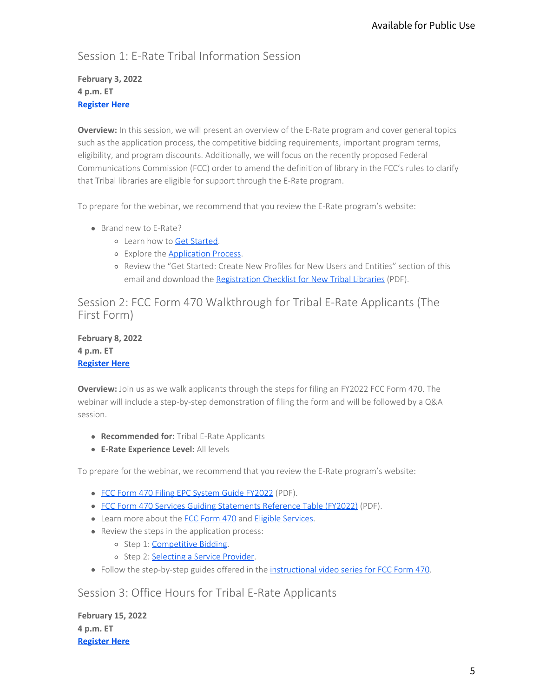### Session 1: E-Rate Tribal Information Session

### **February 3, 2022 4 p.m. ET [Register Here](https://attendee.gotowebinar.com/register/5424847855487992844)**

**Overview:** In this session, we will present an overview of the E-Rate program and cover general topics such as the application process, the competitive bidding requirements, important program terms, eligibility, and program discounts. Additionally, we will focus on the recently proposed Federal Communications Commission (FCC) order to amend the definition of library in the FCC's rules to clarify that Tribal libraries are eligible for support through the E-Rate program. Available for Public Use<br>
Ind cover general topics<br>
Int program terms,<br>
pposed Federal<br>
the FCC's rules to clarify<br>
m's website:<br>
Intities" section of this<br>
<u>ries</u> (PDF).<br>
pplicants (The<br>
FCC Form 470. The<br>
followed by a Q

To prepare for the webinar, we recommend that you review the E-Rate program's website:

- Brand new to E-Rate?
	- Learn how to [Get Started](https://www.usac.org/e-rate/get-started/).
	- Explore the [Application Process](https://www.usac.org/e-rate/applicant-process/).
	- Review the "Get Started: Create New Profiles for New Users and Entities" section of this email and download the [Registration Checklist for New Tribal Libraries](https://www.usac.org/wp-content/uploads/e-rate/documents/tribal/2021_Tribal_Training/Final_E-Rate_Program_Registraton_List_for_New_Tribal_Libraries.pdf) (PDF).

Session 2: FCC Form 470 Walkthrough for Tribal E-Rate Applicants (The First Form)

**February 8, 2022 4 p.m. ET [Register Here](https://register.gotowebinar.com/register/4302811632621239312)** 

**Overview:** Join us as we walk applicants through the steps for filing an FY2022 FCC Form 470. The webinar will include a step-by-step demonstration of filing the form and will be followed by a Q&A session.

- **Recommended for:** Tribal E-Rate Applicants
- **E-Rate Experience Level:** All levels

To prepare for the webinar, we recommend that you review the E-Rate program's website:

- [FCC Form 470 Filing EPC System Guide FY2022](https://www.usac.org/wp-content/uploads/e-rate/documents/Forms/FCC_Form_470_Filing_FY2022.pdf) (PDF).
- [FCC Form 470 Services Guiding Statements Reference Table \(FY2022\)](https://www.usac.org/wp-content/uploads/e-rate/documents/Forms/FCC_Form_470_Guiding_Statements_Table_FY22.pdf) (PDF).
- Learn more about the [FCC Form 470](https://www.usac.org/e-rate/applicant-process/competitive-bidding/fcc-form-470-filing/) and [Eligible Services](https://www.usac.org/e-rate/applicant-process/competitive-bidding/fcc-form-470-filing/).
- Review the steps in the application process:
	- o Step 1: [Competitive Bidding](https://www.usac.org/e-rate/applicant-process/competitive-bidding/).
	- o Step 2: [Selecting a Service Provider.](https://www.usac.org/e-rate/applicant-process/selecting-service-providers/)
- Follow the step-by-step guides offered in the [instructional video series for FCC Form 470](https://www.usac.org/e-rate/learn/videos/#FCC-Form-470-and-Competitive-Bidding).

Session 3: Office Hours for Tribal E-Rate Applicants

**February 15, 2022 4 p.m. ET [Register Here](https://attendee.gotowebinar.com/register/486584893445502475)**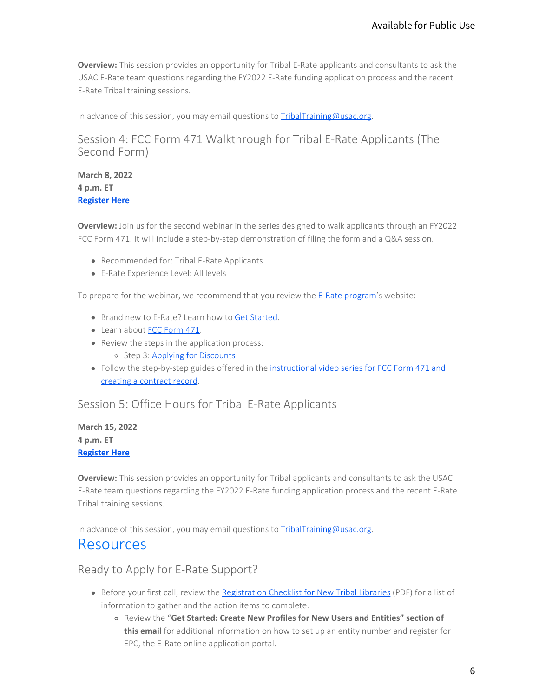**Overview:** This session provides an opportunity for Tribal E-Rate applicants and consultants to ask the USAC E-Rate team questions regarding the FY2022 E-Rate funding application process and the recent E-Rate Tribal training sessions.

In advance of this session, you may email questions to [TribalTraining@usac.org](mailto:TribalTraining@usac.org?subject=).

### Session 4: FCC Form 471 Walkthrough for Tribal E-Rate Applicants (The Second Form)

### **March 8, 2022 4 p.m. ET [Register Here](https://register.gotowebinar.com/recording/7867213926027192065)**

**Overview:** Join us for the second webinar in the series designed to walk applicants through an FY2022 FCC Form 471. It will include a step-by-step demonstration of filing the form and a Q&A session.

- Recommended for: Tribal E-Rate Applicants
- E-Rate Experience Level: All levels

To prepare for the webinar, we recommend that you review the [E-Rate program](https://www.usac.org/e-rate/)'s website:

- Brand new to E-Rate? Learn how to [Get Started](https://www.usac.org/e-rate/get-started/).
- Learn about [FCC Form 471](https://www.usac.org/e-rate/applicant-process/applying-for-discounts/fcc-form-471-filing/).
- Review the steps in the application process:
	- o Step 3: Applying for Discounts
- Follow the step-by-step guides offered in the [instructional video series for FCC Form 471 and](https://www.usac.org/e-rate/learn/videos/#FCC-Form-471) [creating a contract record](https://www.usac.org/e-rate/learn/videos/#FCC-Form-471).

Session 5: Office Hours for Tribal E-Rate Applicants

**March 15, 2022 4 p.m. ET [Register Here](https://register.gotowebinar.com/recording/7867213926027192065)** 

**Overview:** This session provides an opportunity for Tribal applicants and consultants to ask the USAC E-Rate team questions regarding the FY2022 E-Rate funding application process and the recent E-Rate Tribal training sessions. Available for Public Use6

In advance of this session, you may email questions to [TribalTraining@usac.org](mailto:TribalTraining@usac.org?subject=).

## Resources

Ready to Apply for E-Rate Support?

- **Before your first call, review the [Registration Checklist for New Tribal Libraries](https://www.usac.org/e-rate_program_registraton_list_for_new_tribal_libraries/) (PDF) for a list of** information to gather and the action items to complete.
	- Review the "**Get Started: Create New Profiles for New Users and Entities" section of this email** for additional information on how to set up an entity number and register for EPC, the E-Rate online application portal.